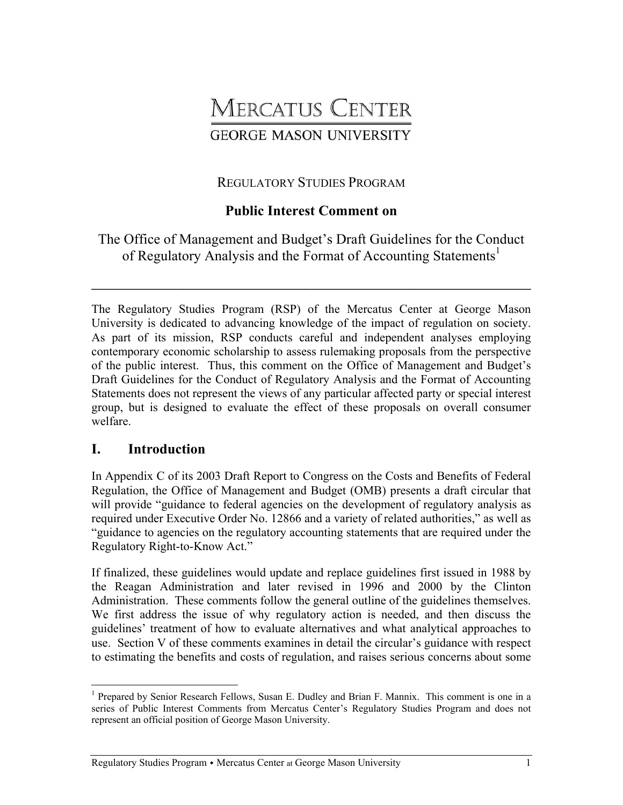# **MERCATUS CENTER GEORGE MASON UNIVERSITY**

## REGULATORY STUDIES PROGRAM

## **Public Interest Comment on**

The Office of Management and Budget's Draft Guidelines for the Conduct of Regulatory Analysis and the Format of Accounting Statements<sup>1</sup>

**\_\_\_\_\_\_\_\_\_\_\_\_\_\_\_\_\_\_\_\_\_\_\_\_\_\_\_\_\_\_\_\_\_\_\_\_\_\_\_\_\_\_\_\_\_\_\_\_\_\_\_\_\_\_\_\_\_\_\_\_\_\_\_\_\_\_\_\_\_\_\_\_** 

The Regulatory Studies Program (RSP) of the Mercatus Center at George Mason University is dedicated to advancing knowledge of the impact of regulation on society. As part of its mission, RSP conducts careful and independent analyses employing contemporary economic scholarship to assess rulemaking proposals from the perspective of the public interest. Thus, this comment on the Office of Management and Budget's Draft Guidelines for the Conduct of Regulatory Analysis and the Format of Accounting Statements does not represent the views of any particular affected party or special interest group, but is designed to evaluate the effect of these proposals on overall consumer welfare.

## **I. Introduction**

In Appendix C of its 2003 Draft Report to Congress on the Costs and Benefits of Federal Regulation, the Office of Management and Budget (OMB) presents a draft circular that will provide "guidance to federal agencies on the development of regulatory analysis as required under Executive Order No. 12866 and a variety of related authorities," as well as "guidance to agencies on the regulatory accounting statements that are required under the Regulatory Right-to-Know Act."

If finalized, these guidelines would update and replace guidelines first issued in 1988 by the Reagan Administration and later revised in 1996 and 2000 by the Clinton Administration. These comments follow the general outline of the guidelines themselves. We first address the issue of why regulatory action is needed, and then discuss the guidelines' treatment of how to evaluate alternatives and what analytical approaches to use. Section V of these comments examines in detail the circular's guidance with respect to estimating the benefits and costs of regulation, and raises serious concerns about some

<sup>1</sup> <sup>1</sup> Prepared by Senior Research Fellows, Susan E. Dudley and Brian F. Mannix. This comment is one in a series of Public Interest Comments from Mercatus Center's Regulatory Studies Program and does not represent an official position of George Mason University.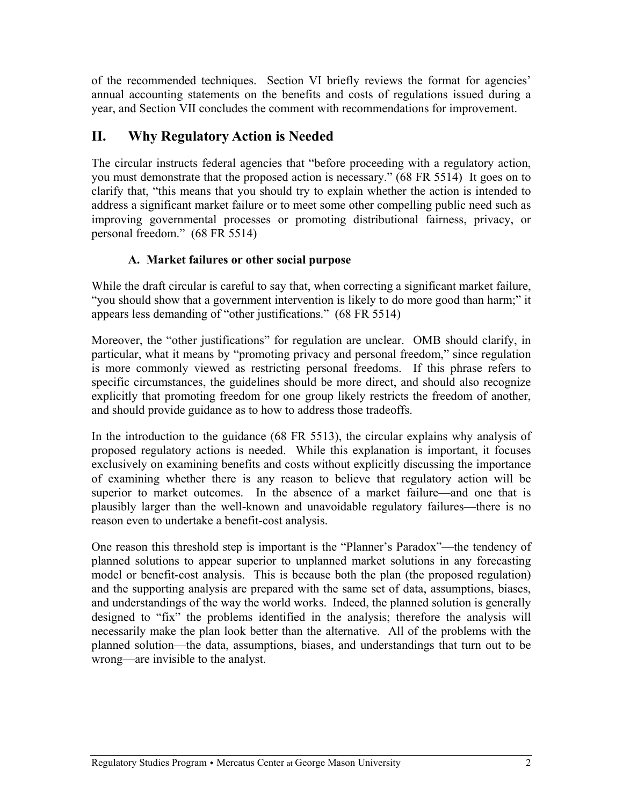of the recommended techniques. Section VI briefly reviews the format for agencies' annual accounting statements on the benefits and costs of regulations issued during a year, and Section VII concludes the comment with recommendations for improvement.

# **II. Why Regulatory Action is Needed**

The circular instructs federal agencies that "before proceeding with a regulatory action, you must demonstrate that the proposed action is necessary." (68 FR 5514) It goes on to clarify that, "this means that you should try to explain whether the action is intended to address a significant market failure or to meet some other compelling public need such as improving governmental processes or promoting distributional fairness, privacy, or personal freedom." (68 FR 5514)

## **A. Market failures or other social purpose**

While the draft circular is careful to say that, when correcting a significant market failure, "you should show that a government intervention is likely to do more good than harm;" it appears less demanding of "other justifications." (68 FR 5514)

Moreover, the "other justifications" for regulation are unclear. OMB should clarify, in particular, what it means by "promoting privacy and personal freedom," since regulation is more commonly viewed as restricting personal freedoms. If this phrase refers to specific circumstances, the guidelines should be more direct, and should also recognize explicitly that promoting freedom for one group likely restricts the freedom of another, and should provide guidance as to how to address those tradeoffs.

In the introduction to the guidance (68 FR 5513), the circular explains why analysis of proposed regulatory actions is needed. While this explanation is important, it focuses exclusively on examining benefits and costs without explicitly discussing the importance of examining whether there is any reason to believe that regulatory action will be superior to market outcomes. In the absence of a market failure—and one that is plausibly larger than the well-known and unavoidable regulatory failures—there is no reason even to undertake a benefit-cost analysis.

One reason this threshold step is important is the "Planner's Paradox"—the tendency of planned solutions to appear superior to unplanned market solutions in any forecasting model or benefit-cost analysis. This is because both the plan (the proposed regulation) and the supporting analysis are prepared with the same set of data, assumptions, biases, and understandings of the way the world works. Indeed, the planned solution is generally designed to "fix" the problems identified in the analysis; therefore the analysis will necessarily make the plan look better than the alternative. All of the problems with the planned solution—the data, assumptions, biases, and understandings that turn out to be wrong—are invisible to the analyst.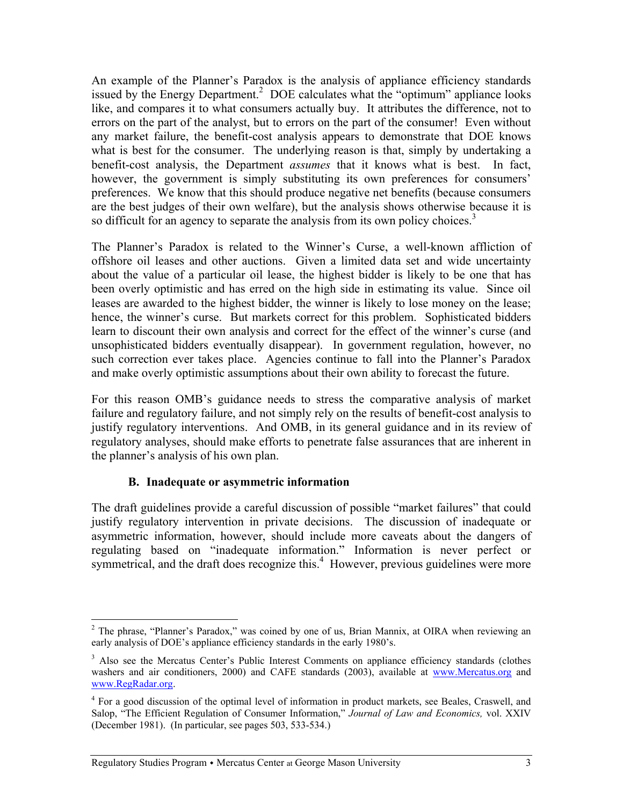An example of the Planner's Paradox is the analysis of appliance efficiency standards issued by the Energy Department.<sup>2</sup> DOE calculates what the "optimum" appliance looks like, and compares it to what consumers actually buy. It attributes the difference, not to errors on the part of the analyst, but to errors on the part of the consumer! Even without any market failure, the benefit-cost analysis appears to demonstrate that DOE knows what is best for the consumer. The underlying reason is that, simply by undertaking a benefit-cost analysis, the Department *assumes* that it knows what is best. In fact, however, the government is simply substituting its own preferences for consumers' preferences. We know that this should produce negative net benefits (because consumers are the best judges of their own welfare), but the analysis shows otherwise because it is so difficult for an agency to separate the analysis from its own policy choices.<sup>3</sup>

The Planner's Paradox is related to the Winner's Curse, a well-known affliction of offshore oil leases and other auctions. Given a limited data set and wide uncertainty about the value of a particular oil lease, the highest bidder is likely to be one that has been overly optimistic and has erred on the high side in estimating its value. Since oil leases are awarded to the highest bidder, the winner is likely to lose money on the lease; hence, the winner's curse. But markets correct for this problem. Sophisticated bidders learn to discount their own analysis and correct for the effect of the winner's curse (and unsophisticated bidders eventually disappear). In government regulation, however, no such correction ever takes place. Agencies continue to fall into the Planner's Paradox and make overly optimistic assumptions about their own ability to forecast the future.

For this reason OMB's guidance needs to stress the comparative analysis of market failure and regulatory failure, and not simply rely on the results of benefit-cost analysis to justify regulatory interventions. And OMB, in its general guidance and in its review of regulatory analyses, should make efforts to penetrate false assurances that are inherent in the planner's analysis of his own plan.

#### **B. Inadequate or asymmetric information**

The draft guidelines provide a careful discussion of possible "market failures" that could justify regulatory intervention in private decisions. The discussion of inadequate or asymmetric information, however, should include more caveats about the dangers of regulating based on "inadequate information." Information is never perfect or symmetrical, and the draft does recognize this.<sup>4</sup> However, previous guidelines were more

 $\overline{a}$  $2$  The phrase, "Planner's Paradox," was coined by one of us, Brian Mannix, at OIRA when reviewing an early analysis of DOE's appliance efficiency standards in the early 1980's.

<sup>&</sup>lt;sup>3</sup> Also see the Mercatus Center's Public Interest Comments on appliance efficiency standards (clothes washers and air conditioners, 2000) and CAFE standards (2003), available at www.Mercatus.org and www.RegRadar.org.

<sup>&</sup>lt;sup>4</sup> For a good discussion of the optimal level of information in product markets, see Beales, Craswell, and Salop, "The Efficient Regulation of Consumer Information," *Journal of Law and Economics,* vol. XXIV (December 1981). (In particular, see pages 503, 533-534.)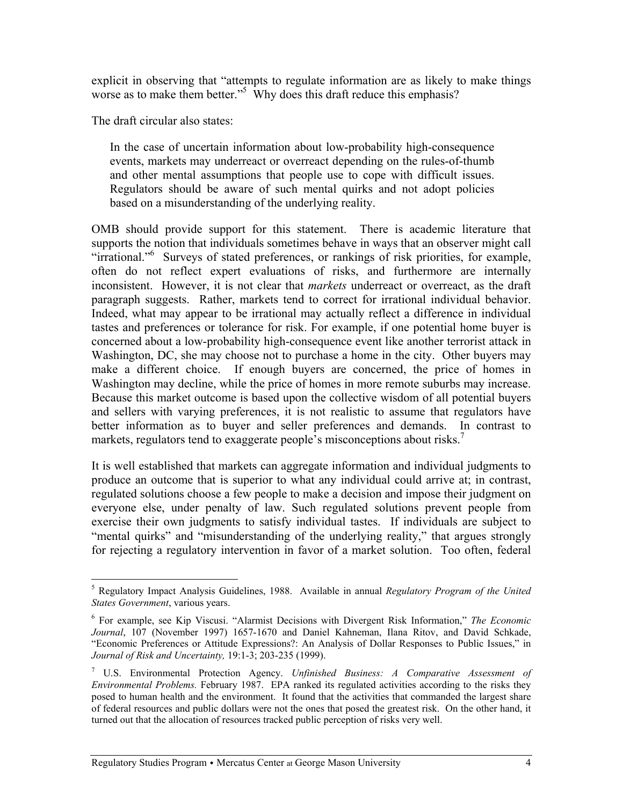explicit in observing that "attempts to regulate information are as likely to make things worse as to make them better."<sup>5</sup> Why does this draft reduce this emphasis?

The draft circular also states:

 $\overline{a}$ 

In the case of uncertain information about low-probability high-consequence events, markets may underreact or overreact depending on the rules-of-thumb and other mental assumptions that people use to cope with difficult issues. Regulators should be aware of such mental quirks and not adopt policies based on a misunderstanding of the underlying reality.

OMB should provide support for this statement. There is academic literature that supports the notion that individuals sometimes behave in ways that an observer might call "irrational."<sup>6</sup> Surveys of stated preferences, or rankings of risk priorities, for example, often do not reflect expert evaluations of risks, and furthermore are internally inconsistent. However, it is not clear that *markets* underreact or overreact, as the draft paragraph suggests. Rather, markets tend to correct for irrational individual behavior. Indeed, what may appear to be irrational may actually reflect a difference in individual tastes and preferences or tolerance for risk. For example, if one potential home buyer is concerned about a low-probability high-consequence event like another terrorist attack in Washington, DC, she may choose not to purchase a home in the city. Other buyers may make a different choice. If enough buyers are concerned, the price of homes in Washington may decline, while the price of homes in more remote suburbs may increase. Because this market outcome is based upon the collective wisdom of all potential buyers and sellers with varying preferences, it is not realistic to assume that regulators have better information as to buyer and seller preferences and demands. In contrast to markets, regulators tend to exaggerate people's misconceptions about risks.<sup>7</sup>

It is well established that markets can aggregate information and individual judgments to produce an outcome that is superior to what any individual could arrive at; in contrast, regulated solutions choose a few people to make a decision and impose their judgment on everyone else, under penalty of law. Such regulated solutions prevent people from exercise their own judgments to satisfy individual tastes. If individuals are subject to "mental quirks" and "misunderstanding of the underlying reality," that argues strongly for rejecting a regulatory intervention in favor of a market solution. Too often, federal

<sup>5</sup> Regulatory Impact Analysis Guidelines, 1988. Available in annual *Regulatory Program of the United States Government*, various years.

<sup>6</sup> For example, see Kip Viscusi. "Alarmist Decisions with Divergent Risk Information," *The Economic Journal*, 107 (November 1997) 1657-1670 and Daniel Kahneman, Ilana Ritov, and David Schkade, "Economic Preferences or Attitude Expressions?: An Analysis of Dollar Responses to Public Issues," in *Journal of Risk and Uncertainty,* 19:1-3; 203-235 (1999).

<sup>7</sup> U.S. Environmental Protection Agency. *Unfinished Business: A Comparative Assessment of Environmental Problems.* February 1987. EPA ranked its regulated activities according to the risks they posed to human health and the environment. It found that the activities that commanded the largest share of federal resources and public dollars were not the ones that posed the greatest risk. On the other hand, it turned out that the allocation of resources tracked public perception of risks very well.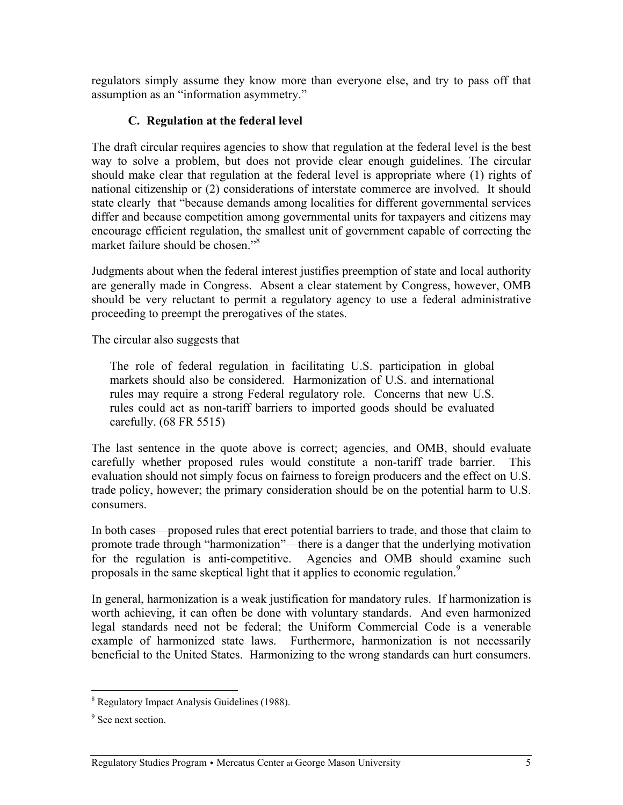regulators simply assume they know more than everyone else, and try to pass off that assumption as an "information asymmetry."

#### **C. Regulation at the federal level**

The draft circular requires agencies to show that regulation at the federal level is the best way to solve a problem, but does not provide clear enough guidelines. The circular should make clear that regulation at the federal level is appropriate where (1) rights of national citizenship or (2) considerations of interstate commerce are involved. It should state clearly that "because demands among localities for different governmental services differ and because competition among governmental units for taxpayers and citizens may encourage efficient regulation, the smallest unit of government capable of correcting the market failure should be chosen."<sup>8</sup>

Judgments about when the federal interest justifies preemption of state and local authority are generally made in Congress. Absent a clear statement by Congress, however, OMB should be very reluctant to permit a regulatory agency to use a federal administrative proceeding to preempt the prerogatives of the states.

The circular also suggests that

The role of federal regulation in facilitating U.S. participation in global markets should also be considered. Harmonization of U.S. and international rules may require a strong Federal regulatory role. Concerns that new U.S. rules could act as non-tariff barriers to imported goods should be evaluated carefully. (68 FR 5515)

The last sentence in the quote above is correct; agencies, and OMB, should evaluate carefully whether proposed rules would constitute a non-tariff trade barrier. This evaluation should not simply focus on fairness to foreign producers and the effect on U.S. trade policy, however; the primary consideration should be on the potential harm to U.S. consumers.

In both cases—proposed rules that erect potential barriers to trade, and those that claim to promote trade through "harmonization"—there is a danger that the underlying motivation for the regulation is anti-competitive. Agencies and OMB should examine such proposals in the same skeptical light that it applies to economic regulation.<sup>9</sup>

In general, harmonization is a weak justification for mandatory rules. If harmonization is worth achieving, it can often be done with voluntary standards. And even harmonized legal standards need not be federal; the Uniform Commercial Code is a venerable example of harmonized state laws. Furthermore, harmonization is not necessarily beneficial to the United States. Harmonizing to the wrong standards can hurt consumers.

<sup>8</sup> Regulatory Impact Analysis Guidelines (1988).

<sup>&</sup>lt;sup>9</sup> See next section.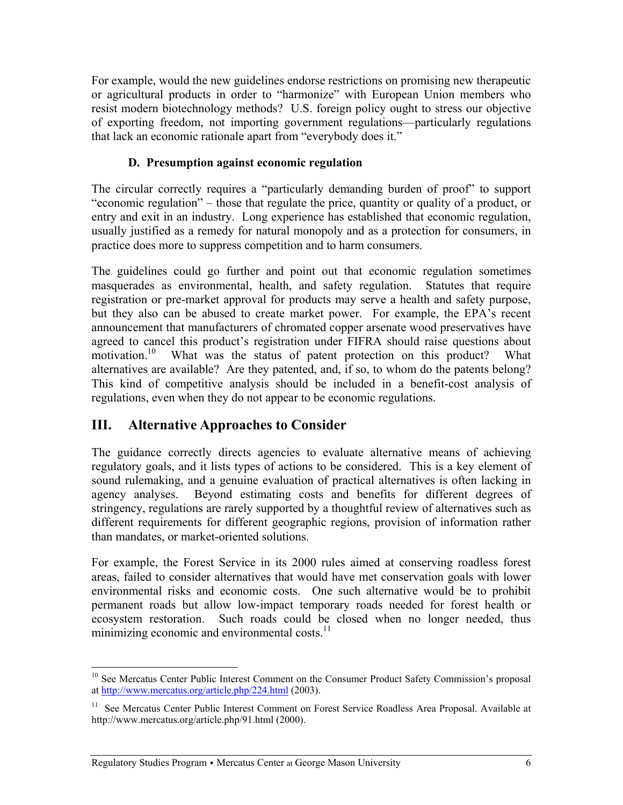For example, would the new guidelines endorse restrictions on promising new therapeutic or agricultural products in order to "harmonize" with European Union members who resist modern biotechnology methods? U.S. foreign policy ought to stress our objective of exporting freedom, not importing government regulations—particularly regulations that lack an economic rationale apart from "everybody does it."

### **D. Presumption against economic regulation**

The circular correctly requires a "particularly demanding burden of proof" to support "economic regulation" – those that regulate the price, quantity or quality of a product, or entry and exit in an industry. Long experience has established that economic regulation, usually justified as a remedy for natural monopoly and as a protection for consumers, in practice does more to suppress competition and to harm consumers.

The guidelines could go further and point out that economic regulation sometimes masquerades as environmental, health, and safety regulation. Statutes that require registration or pre-market approval for products may serve a health and safety purpose, but they also can be abused to create market power. For example, the EPA's recent announcement that manufacturers of chromated copper arsenate wood preservatives have agreed to cancel this product's registration under FIFRA should raise questions about motivation.<sup>10</sup> What was the status of patent protection on this product? What alternatives are available? Are they patented, and, if so, to whom do the patents belong? This kind of competitive analysis should be included in a benefit-cost analysis of regulations, even when they do not appear to be economic regulations.

## **III. Alternative Approaches to Consider**

The guidance correctly directs agencies to evaluate alternative means of achieving regulatory goals, and it lists types of actions to be considered. This is a key element of sound rulemaking, and a genuine evaluation of practical alternatives is often lacking in agency analyses. Beyond estimating costs and benefits for different degrees of stringency, regulations are rarely supported by a thoughtful review of alternatives such as different requirements for different geographic regions, provision of information rather than mandates, or market-oriented solutions.

For example, the Forest Service in its 2000 rules aimed at conserving roadless forest areas, failed to consider alternatives that would have met conservation goals with lower environmental risks and economic costs. One such alternative would be to prohibit permanent roads but allow low-impact temporary roads needed for forest health or ecosystem restoration. Such roads could be closed when no longer needed, thus minimizing economic and environmental costs. $^{11}$ 

 $\overline{a}$ <sup>10</sup> See Mercatus Center Public Interest Comment on the Consumer Product Safety Commission's proposal at http://www.mercatus.org/article.php/224.html (2003).

<sup>&</sup>lt;sup>11</sup> See Mercatus Center Public Interest Comment on Forest Service Roadless Area Proposal. Available at http://www.mercatus.org/article.php/91.html (2000).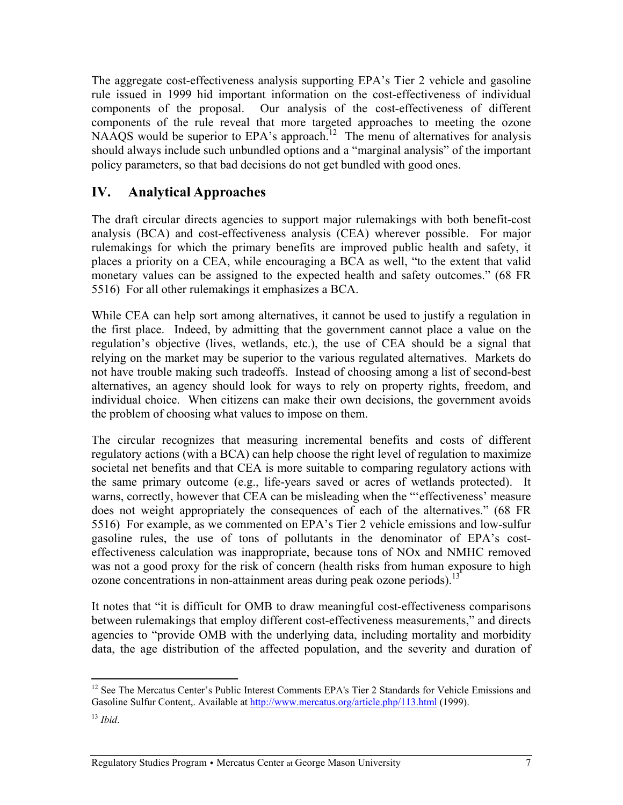The aggregate cost-effectiveness analysis supporting EPA's Tier 2 vehicle and gasoline rule issued in 1999 hid important information on the cost-effectiveness of individual components of the proposal. Our analysis of the cost-effectiveness of different components of the rule reveal that more targeted approaches to meeting the ozone NAAQS would be superior to EPA's approach.<sup>12</sup> The menu of alternatives for analysis should always include such unbundled options and a "marginal analysis" of the important policy parameters, so that bad decisions do not get bundled with good ones.

# **IV. Analytical Approaches**

The draft circular directs agencies to support major rulemakings with both benefit-cost analysis (BCA) and cost-effectiveness analysis (CEA) wherever possible. For major rulemakings for which the primary benefits are improved public health and safety, it places a priority on a CEA, while encouraging a BCA as well, "to the extent that valid monetary values can be assigned to the expected health and safety outcomes." (68 FR 5516) For all other rulemakings it emphasizes a BCA.

While CEA can help sort among alternatives, it cannot be used to justify a regulation in the first place. Indeed, by admitting that the government cannot place a value on the regulation's objective (lives, wetlands, etc.), the use of CEA should be a signal that relying on the market may be superior to the various regulated alternatives. Markets do not have trouble making such tradeoffs. Instead of choosing among a list of second-best alternatives, an agency should look for ways to rely on property rights, freedom, and individual choice. When citizens can make their own decisions, the government avoids the problem of choosing what values to impose on them.

The circular recognizes that measuring incremental benefits and costs of different regulatory actions (with a BCA) can help choose the right level of regulation to maximize societal net benefits and that CEA is more suitable to comparing regulatory actions with the same primary outcome (e.g., life-years saved or acres of wetlands protected). It warns, correctly, however that CEA can be misleading when the "'effectiveness' measure does not weight appropriately the consequences of each of the alternatives." (68 FR 5516) For example, as we commented on EPA's Tier 2 vehicle emissions and low-sulfur gasoline rules, the use of tons of pollutants in the denominator of EPA's costeffectiveness calculation was inappropriate, because tons of NOx and NMHC removed was not a good proxy for the risk of concern (health risks from human exposure to high ozone concentrations in non-attainment areas during peak ozone periods).<sup>13</sup>

It notes that "it is difficult for OMB to draw meaningful cost-effectiveness comparisons between rulemakings that employ different cost-effectiveness measurements," and directs agencies to "provide OMB with the underlying data, including mortality and morbidity data, the age distribution of the affected population, and the severity and duration of

 $\overline{a}$  $12$  See The Mercatus Center's Public Interest Comments EPA's Tier 2 Standards for Vehicle Emissions and Gasoline Sulfur Content,. Available at http://www.mercatus.org/article.php/113.html (1999).

<sup>13</sup> *Ibid*.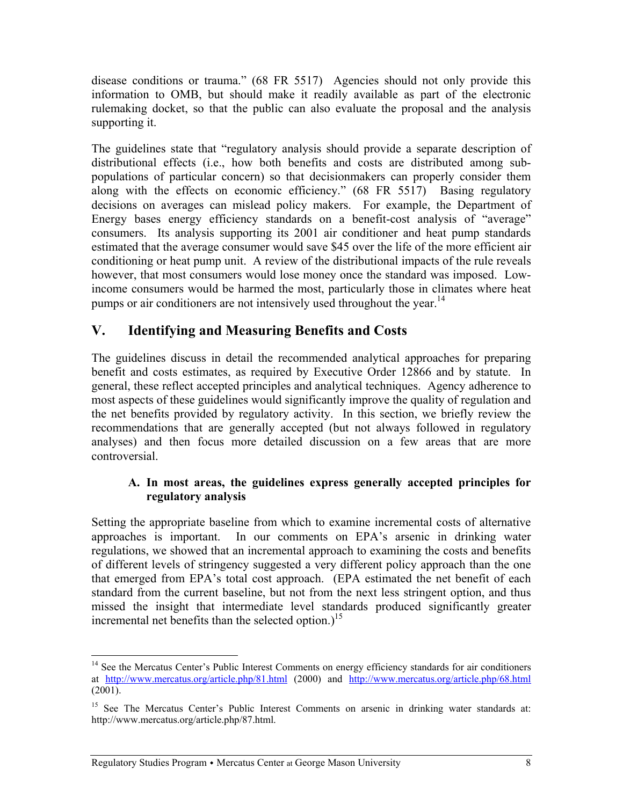disease conditions or trauma." (68 FR 5517) Agencies should not only provide this information to OMB, but should make it readily available as part of the electronic rulemaking docket, so that the public can also evaluate the proposal and the analysis supporting it.

The guidelines state that "regulatory analysis should provide a separate description of distributional effects (i.e., how both benefits and costs are distributed among subpopulations of particular concern) so that decisionmakers can properly consider them along with the effects on economic efficiency." (68 FR 5517) Basing regulatory decisions on averages can mislead policy makers. For example, the Department of Energy bases energy efficiency standards on a benefit-cost analysis of "average" consumers. Its analysis supporting its 2001 air conditioner and heat pump standards estimated that the average consumer would save \$45 over the life of the more efficient air conditioning or heat pump unit. A review of the distributional impacts of the rule reveals however, that most consumers would lose money once the standard was imposed. Lowincome consumers would be harmed the most, particularly those in climates where heat pumps or air conditioners are not intensively used throughout the year.<sup>14</sup>

## **V. Identifying and Measuring Benefits and Costs**

The guidelines discuss in detail the recommended analytical approaches for preparing benefit and costs estimates, as required by Executive Order 12866 and by statute. In general, these reflect accepted principles and analytical techniques. Agency adherence to most aspects of these guidelines would significantly improve the quality of regulation and the net benefits provided by regulatory activity. In this section, we briefly review the recommendations that are generally accepted (but not always followed in regulatory analyses) and then focus more detailed discussion on a few areas that are more controversial.

#### **A. In most areas, the guidelines express generally accepted principles for regulatory analysis**

Setting the appropriate baseline from which to examine incremental costs of alternative approaches is important. In our comments on EPA's arsenic in drinking water regulations, we showed that an incremental approach to examining the costs and benefits of different levels of stringency suggested a very different policy approach than the one that emerged from EPA's total cost approach. (EPA estimated the net benefit of each standard from the current baseline, but not from the next less stringent option, and thus missed the insight that intermediate level standards produced significantly greater incremental net benefits than the selected option.)<sup>15</sup>

<sup>&</sup>lt;sup>14</sup> See the Mercatus Center's Public Interest Comments on energy efficiency standards for air conditioners at http://www.mercatus.org/article.php/81.html (2000) and http://www.mercatus.org/article.php/68.html (2001).

<sup>&</sup>lt;sup>15</sup> See The Mercatus Center's Public Interest Comments on arsenic in drinking water standards at: http://www.mercatus.org/article.php/87.html.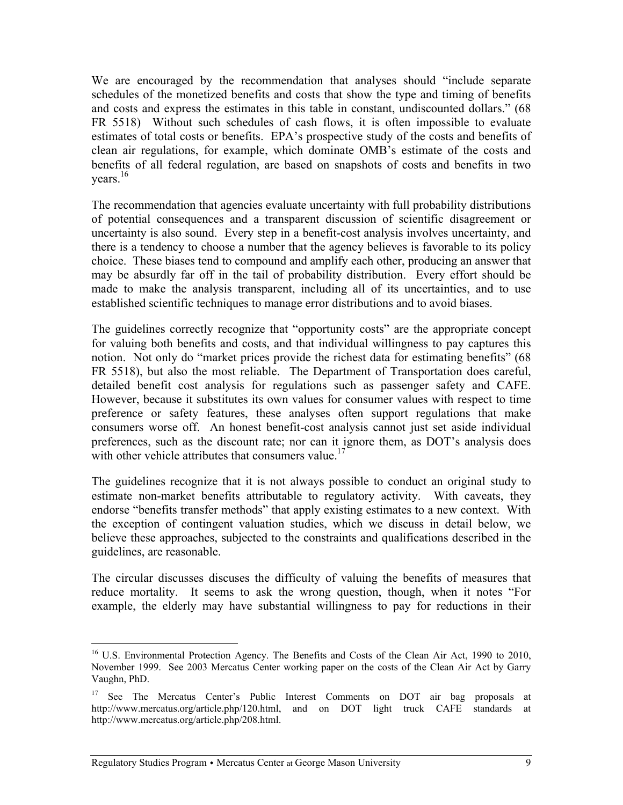We are encouraged by the recommendation that analyses should "include separate schedules of the monetized benefits and costs that show the type and timing of benefits and costs and express the estimates in this table in constant, undiscounted dollars." (68 FR 5518) Without such schedules of cash flows, it is often impossible to evaluate estimates of total costs or benefits. EPA's prospective study of the costs and benefits of clean air regulations, for example, which dominate OMB's estimate of the costs and benefits of all federal regulation, are based on snapshots of costs and benefits in two years.<sup>16</sup>

The recommendation that agencies evaluate uncertainty with full probability distributions of potential consequences and a transparent discussion of scientific disagreement or uncertainty is also sound. Every step in a benefit-cost analysis involves uncertainty, and there is a tendency to choose a number that the agency believes is favorable to its policy choice. These biases tend to compound and amplify each other, producing an answer that may be absurdly far off in the tail of probability distribution. Every effort should be made to make the analysis transparent, including all of its uncertainties, and to use established scientific techniques to manage error distributions and to avoid biases.

The guidelines correctly recognize that "opportunity costs" are the appropriate concept for valuing both benefits and costs, and that individual willingness to pay captures this notion. Not only do "market prices provide the richest data for estimating benefits" (68 FR 5518), but also the most reliable. The Department of Transportation does careful, detailed benefit cost analysis for regulations such as passenger safety and CAFE. However, because it substitutes its own values for consumer values with respect to time preference or safety features, these analyses often support regulations that make consumers worse off. An honest benefit-cost analysis cannot just set aside individual preferences, such as the discount rate; nor can it ignore them, as DOT's analysis does with other vehicle attributes that consumers value.<sup>17</sup>

The guidelines recognize that it is not always possible to conduct an original study to estimate non-market benefits attributable to regulatory activity. With caveats, they endorse "benefits transfer methods" that apply existing estimates to a new context. With the exception of contingent valuation studies, which we discuss in detail below, we believe these approaches, subjected to the constraints and qualifications described in the guidelines, are reasonable.

The circular discusses discuses the difficulty of valuing the benefits of measures that reduce mortality. It seems to ask the wrong question, though, when it notes "For example, the elderly may have substantial willingness to pay for reductions in their

 $\overline{a}$ <sup>16</sup> U.S. Environmental Protection Agency. The Benefits and Costs of the Clean Air Act, 1990 to 2010, November 1999. See 2003 Mercatus Center working paper on the costs of the Clean Air Act by Garry Vaughn, PhD.

<sup>&</sup>lt;sup>17</sup> See The Mercatus Center's Public Interest Comments on DOT air bag proposals at http://www.mercatus.org/article.php/120.html, and on DOT light truck CAFE standards at http://www.mercatus.org/article.php/208.html.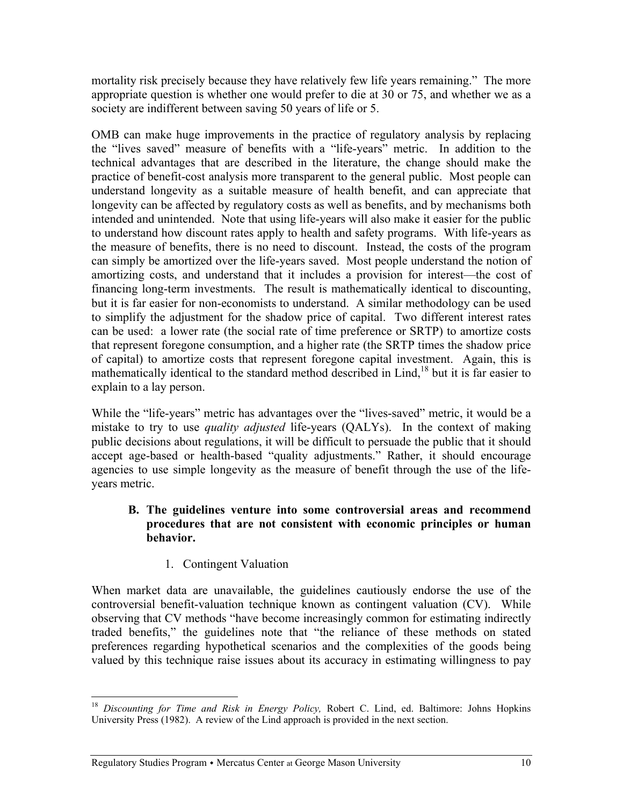mortality risk precisely because they have relatively few life years remaining." The more appropriate question is whether one would prefer to die at 30 or 75, and whether we as a society are indifferent between saving 50 years of life or 5.

OMB can make huge improvements in the practice of regulatory analysis by replacing the "lives saved" measure of benefits with a "life-years" metric. In addition to the technical advantages that are described in the literature, the change should make the practice of benefit-cost analysis more transparent to the general public. Most people can understand longevity as a suitable measure of health benefit, and can appreciate that longevity can be affected by regulatory costs as well as benefits, and by mechanisms both intended and unintended. Note that using life-years will also make it easier for the public to understand how discount rates apply to health and safety programs. With life-years as the measure of benefits, there is no need to discount. Instead, the costs of the program can simply be amortized over the life-years saved. Most people understand the notion of amortizing costs, and understand that it includes a provision for interest—the cost of financing long-term investments. The result is mathematically identical to discounting, but it is far easier for non-economists to understand. A similar methodology can be used to simplify the adjustment for the shadow price of capital. Two different interest rates can be used: a lower rate (the social rate of time preference or SRTP) to amortize costs that represent foregone consumption, and a higher rate (the SRTP times the shadow price of capital) to amortize costs that represent foregone capital investment. Again, this is mathematically identical to the standard method described in Lind,<sup>18</sup> but it is far easier to explain to a lay person.

While the "life-years" metric has advantages over the "lives-saved" metric, it would be a mistake to try to use *quality adjusted* life-years (QALYs). In the context of making public decisions about regulations, it will be difficult to persuade the public that it should accept age-based or health-based "quality adjustments." Rather, it should encourage agencies to use simple longevity as the measure of benefit through the use of the lifeyears metric.

#### **B. The guidelines venture into some controversial areas and recommend procedures that are not consistent with economic principles or human behavior.**

1. Contingent Valuation

1

When market data are unavailable, the guidelines cautiously endorse the use of the controversial benefit-valuation technique known as contingent valuation (CV). While observing that CV methods "have become increasingly common for estimating indirectly traded benefits," the guidelines note that "the reliance of these methods on stated preferences regarding hypothetical scenarios and the complexities of the goods being valued by this technique raise issues about its accuracy in estimating willingness to pay

<sup>18</sup> *Discounting for Time and Risk in Energy Policy,* Robert C. Lind, ed. Baltimore: Johns Hopkins University Press (1982). A review of the Lind approach is provided in the next section.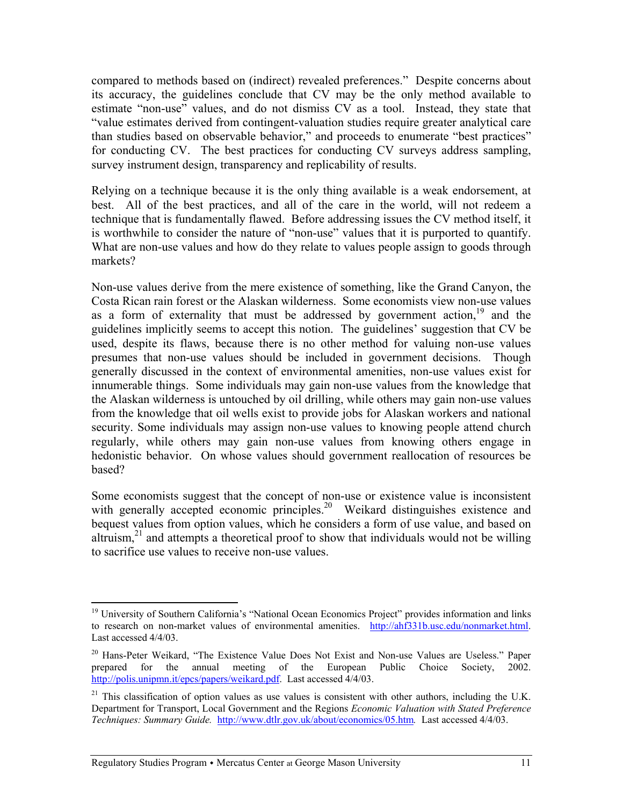compared to methods based on (indirect) revealed preferences." Despite concerns about its accuracy, the guidelines conclude that CV may be the only method available to estimate "non-use" values, and do not dismiss CV as a tool. Instead, they state that "value estimates derived from contingent-valuation studies require greater analytical care than studies based on observable behavior," and proceeds to enumerate "best practices" for conducting CV. The best practices for conducting CV surveys address sampling, survey instrument design, transparency and replicability of results.

Relying on a technique because it is the only thing available is a weak endorsement, at best. All of the best practices, and all of the care in the world, will not redeem a technique that is fundamentally flawed. Before addressing issues the CV method itself, it is worthwhile to consider the nature of "non-use" values that it is purported to quantify. What are non-use values and how do they relate to values people assign to goods through markets?

Non-use values derive from the mere existence of something, like the Grand Canyon, the Costa Rican rain forest or the Alaskan wilderness. Some economists view non-use values as a form of externality that must be addressed by government action,  $19$  and the guidelines implicitly seems to accept this notion. The guidelines' suggestion that CV be used, despite its flaws, because there is no other method for valuing non-use values presumes that non-use values should be included in government decisions. Though generally discussed in the context of environmental amenities, non-use values exist for innumerable things. Some individuals may gain non-use values from the knowledge that the Alaskan wilderness is untouched by oil drilling, while others may gain non-use values from the knowledge that oil wells exist to provide jobs for Alaskan workers and national security. Some individuals may assign non-use values to knowing people attend church regularly, while others may gain non-use values from knowing others engage in hedonistic behavior. On whose values should government reallocation of resources be based?

Some economists suggest that the concept of non-use or existence value is inconsistent with generally accepted economic principles.<sup>20</sup> Weikard distinguishes existence and bequest values from option values, which he considers a form of use value, and based on altruism,<sup>21</sup> and attempts a theoretical proof to show that individuals would not be willing to sacrifice use values to receive non-use values.

<sup>&</sup>lt;sup>19</sup> University of Southern California's "National Ocean Economics Project" provides information and links to research on non-market values of environmental amenities. http://ahf331b.usc.edu/nonmarket.html. Last accessed 4/4/03.

<sup>&</sup>lt;sup>20</sup> Hans-Peter Weikard, "The Existence Value Does Not Exist and Non-use Values are Useless." Paper prepared for the annual meeting of the European Public Choice Society, 2002. http://polis.unipmn.it/epcs/papers/weikard.pdf. Last accessed 4/4/03.

 $21$  This classification of option values as use values is consistent with other authors, including the U.K. Department for Transport, Local Government and the Regions *Economic Valuation with Stated Preference Techniques: Summary Guide.* http://www.dtlr.gov.uk/about/economics/05.htm*.* Last accessed 4/4/03.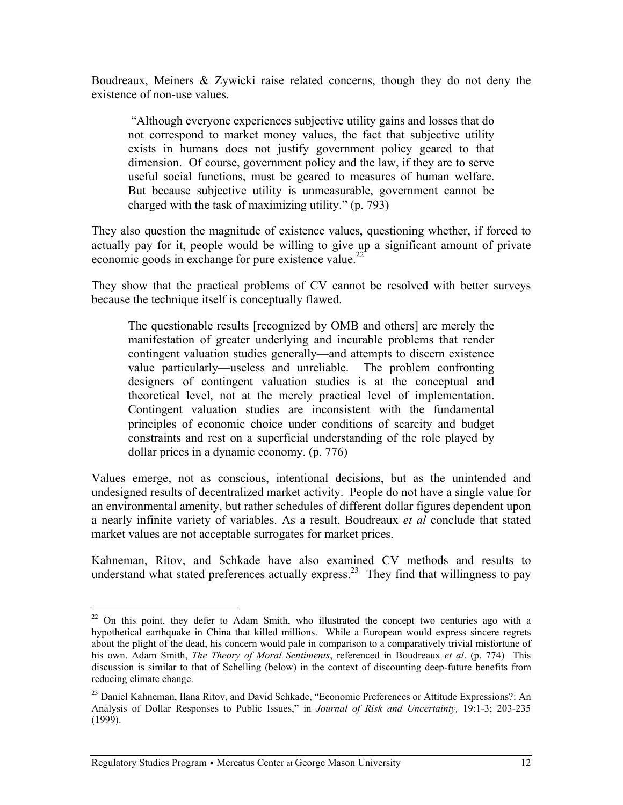Boudreaux, Meiners & Zywicki raise related concerns, though they do not deny the existence of non-use values.

 "Although everyone experiences subjective utility gains and losses that do not correspond to market money values, the fact that subjective utility exists in humans does not justify government policy geared to that dimension. Of course, government policy and the law, if they are to serve useful social functions, must be geared to measures of human welfare. But because subjective utility is unmeasurable, government cannot be charged with the task of maximizing utility." (p. 793)

They also question the magnitude of existence values, questioning whether, if forced to actually pay for it, people would be willing to give up a significant amount of private economic goods in exchange for pure existence value.<sup>22</sup>

They show that the practical problems of CV cannot be resolved with better surveys because the technique itself is conceptually flawed.

The questionable results [recognized by OMB and others] are merely the manifestation of greater underlying and incurable problems that render contingent valuation studies generally—and attempts to discern existence value particularly—useless and unreliable. The problem confronting designers of contingent valuation studies is at the conceptual and theoretical level, not at the merely practical level of implementation. Contingent valuation studies are inconsistent with the fundamental principles of economic choice under conditions of scarcity and budget constraints and rest on a superficial understanding of the role played by dollar prices in a dynamic economy. (p. 776)

Values emerge, not as conscious, intentional decisions, but as the unintended and undesigned results of decentralized market activity. People do not have a single value for an environmental amenity, but rather schedules of different dollar figures dependent upon a nearly infinite variety of variables. As a result, Boudreaux *et al* conclude that stated market values are not acceptable surrogates for market prices.

Kahneman, Ritov, and Schkade have also examined CV methods and results to understand what stated preferences actually express.<sup>23</sup> They find that willingness to pay

 $22$  On this point, they defer to Adam Smith, who illustrated the concept two centuries ago with a hypothetical earthquake in China that killed millions. While a European would express sincere regrets about the plight of the dead, his concern would pale in comparison to a comparatively trivial misfortune of his own. Adam Smith, *The Theory of Moral Sentiments*, referenced in Boudreaux *et al*. (p. 774) This discussion is similar to that of Schelling (below) in the context of discounting deep-future benefits from reducing climate change.

<sup>&</sup>lt;sup>23</sup> Daniel Kahneman, Ilana Ritov, and David Schkade, "Economic Preferences or Attitude Expressions?: An Analysis of Dollar Responses to Public Issues," in *Journal of Risk and Uncertainty,* 19:1-3; 203-235 (1999).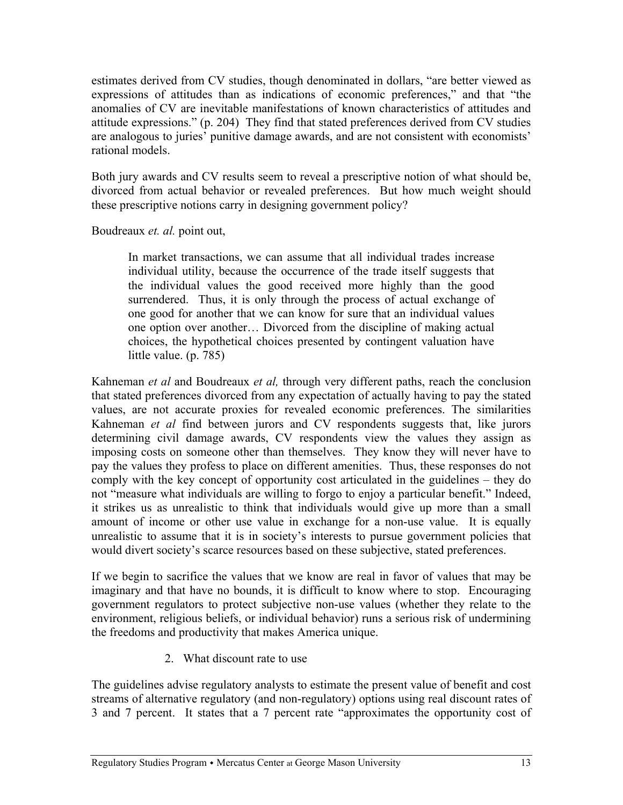estimates derived from CV studies, though denominated in dollars, "are better viewed as expressions of attitudes than as indications of economic preferences," and that "the anomalies of CV are inevitable manifestations of known characteristics of attitudes and attitude expressions." (p. 204) They find that stated preferences derived from CV studies are analogous to juries' punitive damage awards, and are not consistent with economists' rational models.

Both jury awards and CV results seem to reveal a prescriptive notion of what should be, divorced from actual behavior or revealed preferences. But how much weight should these prescriptive notions carry in designing government policy?

Boudreaux *et. al.* point out,

In market transactions, we can assume that all individual trades increase individual utility, because the occurrence of the trade itself suggests that the individual values the good received more highly than the good surrendered. Thus, it is only through the process of actual exchange of one good for another that we can know for sure that an individual values one option over another… Divorced from the discipline of making actual choices, the hypothetical choices presented by contingent valuation have little value. (p. 785)

Kahneman *et al* and Boudreaux *et al,* through very different paths, reach the conclusion that stated preferences divorced from any expectation of actually having to pay the stated values, are not accurate proxies for revealed economic preferences. The similarities Kahneman *et al* find between jurors and CV respondents suggests that, like jurors determining civil damage awards, CV respondents view the values they assign as imposing costs on someone other than themselves. They know they will never have to pay the values they profess to place on different amenities. Thus, these responses do not comply with the key concept of opportunity cost articulated in the guidelines – they do not "measure what individuals are willing to forgo to enjoy a particular benefit." Indeed, it strikes us as unrealistic to think that individuals would give up more than a small amount of income or other use value in exchange for a non-use value. It is equally unrealistic to assume that it is in society's interests to pursue government policies that would divert society's scarce resources based on these subjective, stated preferences.

If we begin to sacrifice the values that we know are real in favor of values that may be imaginary and that have no bounds, it is difficult to know where to stop. Encouraging government regulators to protect subjective non-use values (whether they relate to the environment, religious beliefs, or individual behavior) runs a serious risk of undermining the freedoms and productivity that makes America unique.

2. What discount rate to use

The guidelines advise regulatory analysts to estimate the present value of benefit and cost streams of alternative regulatory (and non-regulatory) options using real discount rates of 3 and 7 percent. It states that a 7 percent rate "approximates the opportunity cost of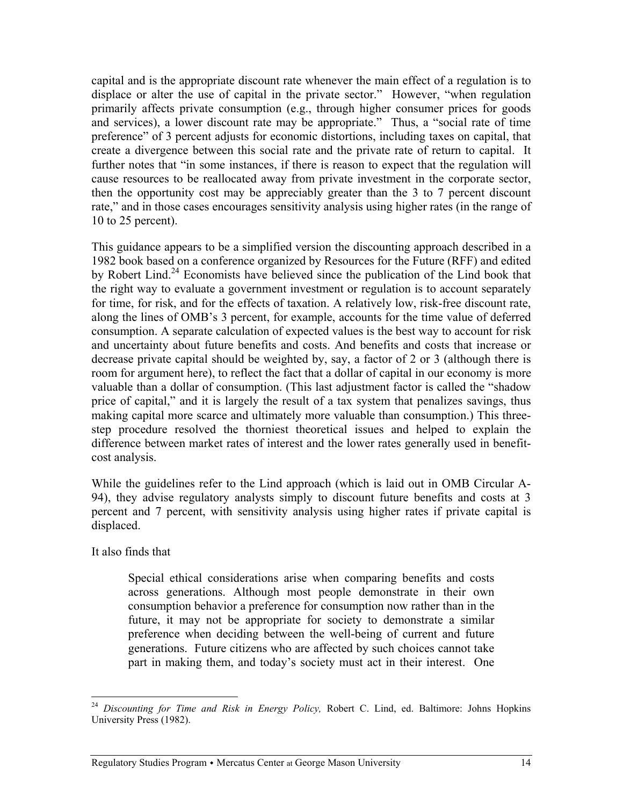capital and is the appropriate discount rate whenever the main effect of a regulation is to displace or alter the use of capital in the private sector." However, "when regulation primarily affects private consumption (e.g., through higher consumer prices for goods and services), a lower discount rate may be appropriate." Thus, a "social rate of time preference" of 3 percent adjusts for economic distortions, including taxes on capital, that create a divergence between this social rate and the private rate of return to capital. It further notes that "in some instances, if there is reason to expect that the regulation will cause resources to be reallocated away from private investment in the corporate sector, then the opportunity cost may be appreciably greater than the 3 to 7 percent discount rate," and in those cases encourages sensitivity analysis using higher rates (in the range of 10 to 25 percent).

This guidance appears to be a simplified version the discounting approach described in a 1982 book based on a conference organized by Resources for the Future (RFF) and edited by Robert Lind.<sup>24</sup> Economists have believed since the publication of the Lind book that the right way to evaluate a government investment or regulation is to account separately for time, for risk, and for the effects of taxation. A relatively low, risk-free discount rate, along the lines of OMB's 3 percent, for example, accounts for the time value of deferred consumption. A separate calculation of expected values is the best way to account for risk and uncertainty about future benefits and costs. And benefits and costs that increase or decrease private capital should be weighted by, say, a factor of 2 or 3 (although there is room for argument here), to reflect the fact that a dollar of capital in our economy is more valuable than a dollar of consumption. (This last adjustment factor is called the "shadow price of capital," and it is largely the result of a tax system that penalizes savings, thus making capital more scarce and ultimately more valuable than consumption.) This threestep procedure resolved the thorniest theoretical issues and helped to explain the difference between market rates of interest and the lower rates generally used in benefitcost analysis.

While the guidelines refer to the Lind approach (which is laid out in OMB Circular A-94), they advise regulatory analysts simply to discount future benefits and costs at 3 percent and 7 percent, with sensitivity analysis using higher rates if private capital is displaced.

It also finds that

1

Special ethical considerations arise when comparing benefits and costs across generations. Although most people demonstrate in their own consumption behavior a preference for consumption now rather than in the future, it may not be appropriate for society to demonstrate a similar preference when deciding between the well-being of current and future generations. Future citizens who are affected by such choices cannot take part in making them, and today's society must act in their interest. One

<sup>24</sup> *Discounting for Time and Risk in Energy Policy,* Robert C. Lind, ed. Baltimore: Johns Hopkins University Press (1982).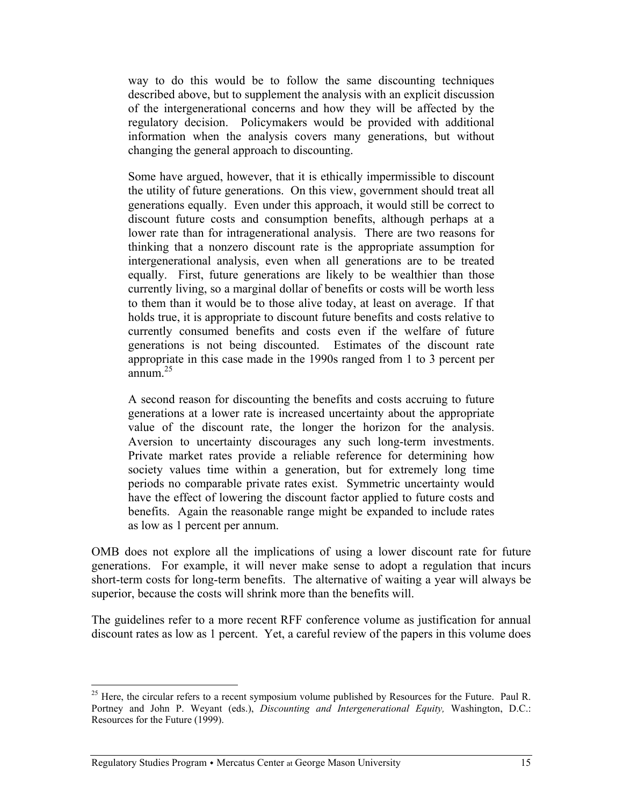way to do this would be to follow the same discounting techniques described above, but to supplement the analysis with an explicit discussion of the intergenerational concerns and how they will be affected by the regulatory decision. Policymakers would be provided with additional information when the analysis covers many generations, but without changing the general approach to discounting.

Some have argued, however, that it is ethically impermissible to discount the utility of future generations. On this view, government should treat all generations equally. Even under this approach, it would still be correct to discount future costs and consumption benefits, although perhaps at a lower rate than for intragenerational analysis. There are two reasons for thinking that a nonzero discount rate is the appropriate assumption for intergenerational analysis, even when all generations are to be treated equally. First, future generations are likely to be wealthier than those currently living, so a marginal dollar of benefits or costs will be worth less to them than it would be to those alive today, at least on average. If that holds true, it is appropriate to discount future benefits and costs relative to currently consumed benefits and costs even if the welfare of future generations is not being discounted. Estimates of the discount rate appropriate in this case made in the 1990s ranged from 1 to 3 percent per  $\frac{1}{25}$ annum.<sup>25</sup>

A second reason for discounting the benefits and costs accruing to future generations at a lower rate is increased uncertainty about the appropriate value of the discount rate, the longer the horizon for the analysis. Aversion to uncertainty discourages any such long-term investments. Private market rates provide a reliable reference for determining how society values time within a generation, but for extremely long time periods no comparable private rates exist. Symmetric uncertainty would have the effect of lowering the discount factor applied to future costs and benefits. Again the reasonable range might be expanded to include rates as low as 1 percent per annum.

OMB does not explore all the implications of using a lower discount rate for future generations. For example, it will never make sense to adopt a regulation that incurs short-term costs for long-term benefits. The alternative of waiting a year will always be superior, because the costs will shrink more than the benefits will.

The guidelines refer to a more recent RFF conference volume as justification for annual discount rates as low as 1 percent. Yet, a careful review of the papers in this volume does

<sup>&</sup>lt;sup>25</sup> Here, the circular refers to a recent symposium volume published by Resources for the Future. Paul R. Portney and John P. Weyant (eds.), *Discounting and Intergenerational Equity,* Washington, D.C.: Resources for the Future (1999).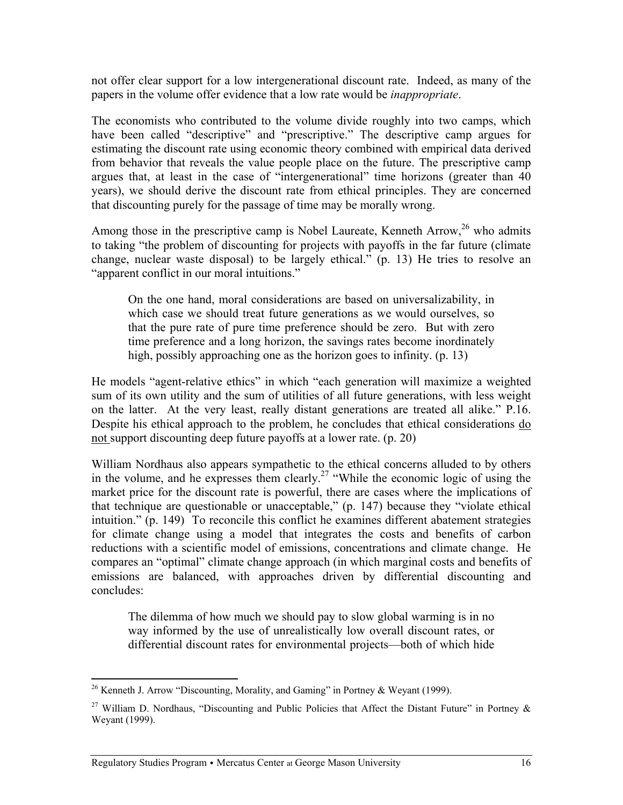not offer clear support for a low intergenerational discount rate. Indeed, as many of the papers in the volume offer evidence that a low rate would be *inappropriate*.

The economists who contributed to the volume divide roughly into two camps, which have been called "descriptive" and "prescriptive." The descriptive camp argues for estimating the discount rate using economic theory combined with empirical data derived from behavior that reveals the value people place on the future. The prescriptive camp argues that, at least in the case of "intergenerational" time horizons (greater than 40 years), we should derive the discount rate from ethical principles. They are concerned that discounting purely for the passage of time may be morally wrong.

Among those in the prescriptive camp is Nobel Laureate, Kenneth Arrow,  $^{26}$  who admits to taking "the problem of discounting for projects with payoffs in the far future (climate change, nuclear waste disposal) to be largely ethical." (p. 13) He tries to resolve an "apparent conflict in our moral intuitions."

On the one hand, moral considerations are based on universalizability, in which case we should treat future generations as we would ourselves, so that the pure rate of pure time preference should be zero. But with zero time preference and a long horizon, the savings rates become inordinately high, possibly approaching one as the horizon goes to infinity. (p. 13)

He models "agent-relative ethics" in which "each generation will maximize a weighted sum of its own utility and the sum of utilities of all future generations, with less weight on the latter. At the very least, really distant generations are treated all alike." P.16. Despite his ethical approach to the problem, he concludes that ethical considerations do not support discounting deep future payoffs at a lower rate. (p. 20)

William Nordhaus also appears sympathetic to the ethical concerns alluded to by others in the volume, and he expresses them clearly.<sup>27</sup> "While the economic logic of using the market price for the discount rate is powerful, there are cases where the implications of that technique are questionable or unacceptable," (p. 147) because they "violate ethical intuition." (p. 149) To reconcile this conflict he examines different abatement strategies for climate change using a model that integrates the costs and benefits of carbon reductions with a scientific model of emissions, concentrations and climate change. He compares an "optimal" climate change approach (in which marginal costs and benefits of emissions are balanced, with approaches driven by differential discounting and concludes:

The dilemma of how much we should pay to slow global warming is in no way informed by the use of unrealistically low overall discount rates, or differential discount rates for environmental projects—both of which hide

 $\overline{a}$ <sup>26</sup> Kenneth J. Arrow "Discounting, Morality, and Gaming" in Portney & Weyant (1999).

<sup>&</sup>lt;sup>27</sup> William D. Nordhaus, "Discounting and Public Policies that Affect the Distant Future" in Portney  $\&$ Weyant (1999).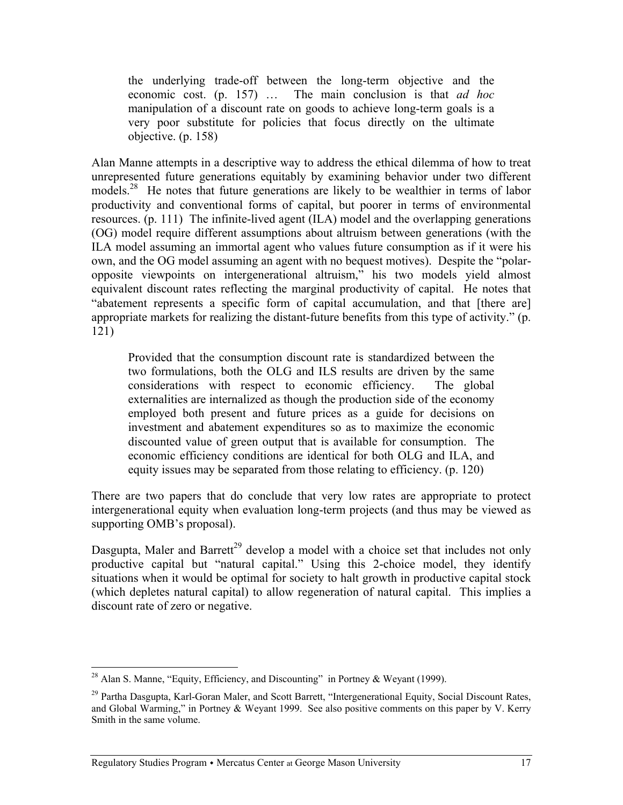the underlying trade-off between the long-term objective and the economic cost. (p. 157) … The main conclusion is that *ad hoc* manipulation of a discount rate on goods to achieve long-term goals is a very poor substitute for policies that focus directly on the ultimate objective. (p. 158)

Alan Manne attempts in a descriptive way to address the ethical dilemma of how to treat unrepresented future generations equitably by examining behavior under two different models.<sup>28</sup> He notes that future generations are likely to be wealthier in terms of labor productivity and conventional forms of capital, but poorer in terms of environmental resources. (p. 111) The infinite-lived agent (ILA) model and the overlapping generations (OG) model require different assumptions about altruism between generations (with the ILA model assuming an immortal agent who values future consumption as if it were his own, and the OG model assuming an agent with no bequest motives). Despite the "polaropposite viewpoints on intergenerational altruism," his two models yield almost equivalent discount rates reflecting the marginal productivity of capital. He notes that "abatement represents a specific form of capital accumulation, and that [there are] appropriate markets for realizing the distant-future benefits from this type of activity." (p. 121)

Provided that the consumption discount rate is standardized between the two formulations, both the OLG and ILS results are driven by the same considerations with respect to economic efficiency. The global externalities are internalized as though the production side of the economy employed both present and future prices as a guide for decisions on investment and abatement expenditures so as to maximize the economic discounted value of green output that is available for consumption. The economic efficiency conditions are identical for both OLG and ILA, and equity issues may be separated from those relating to efficiency. (p. 120)

There are two papers that do conclude that very low rates are appropriate to protect intergenerational equity when evaluation long-term projects (and thus may be viewed as supporting OMB's proposal).

Dasgupta, Maler and Barrett<sup>29</sup> develop a model with a choice set that includes not only productive capital but "natural capital." Using this 2-choice model, they identify situations when it would be optimal for society to halt growth in productive capital stock (which depletes natural capital) to allow regeneration of natural capital. This implies a discount rate of zero or negative.

 $\overline{a}$ <sup>28</sup> Alan S. Manne, "Equity, Efficiency, and Discounting" in Portney & Weyant (1999).

<sup>&</sup>lt;sup>29</sup> Partha Dasgupta, Karl-Goran Maler, and Scott Barrett, "Intergenerational Equity, Social Discount Rates, and Global Warming," in Portney & Weyant 1999. See also positive comments on this paper by V. Kerry Smith in the same volume.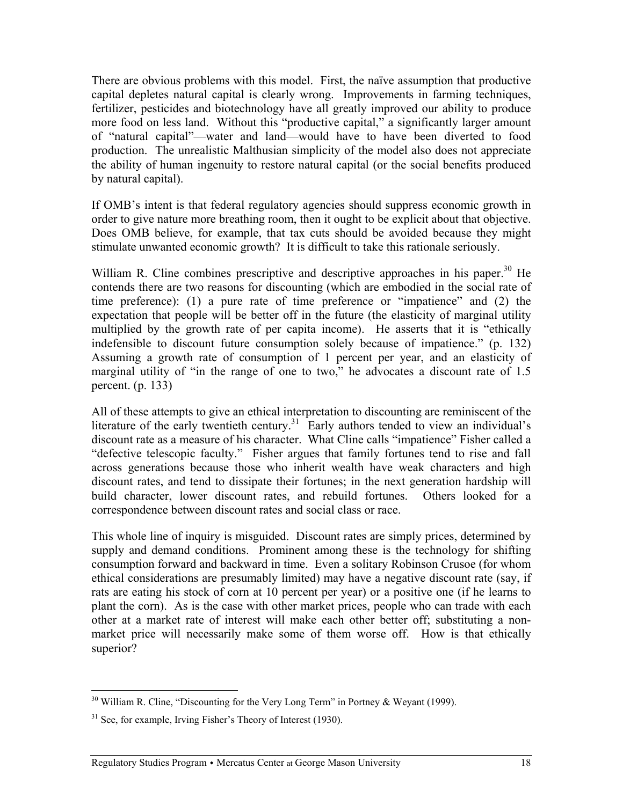There are obvious problems with this model. First, the naïve assumption that productive capital depletes natural capital is clearly wrong. Improvements in farming techniques, fertilizer, pesticides and biotechnology have all greatly improved our ability to produce more food on less land. Without this "productive capital," a significantly larger amount of "natural capital"—water and land—would have to have been diverted to food production. The unrealistic Malthusian simplicity of the model also does not appreciate the ability of human ingenuity to restore natural capital (or the social benefits produced by natural capital).

If OMB's intent is that federal regulatory agencies should suppress economic growth in order to give nature more breathing room, then it ought to be explicit about that objective. Does OMB believe, for example, that tax cuts should be avoided because they might stimulate unwanted economic growth? It is difficult to take this rationale seriously.

William R. Cline combines prescriptive and descriptive approaches in his paper.<sup>30</sup> He contends there are two reasons for discounting (which are embodied in the social rate of time preference): (1) a pure rate of time preference or "impatience" and (2) the expectation that people will be better off in the future (the elasticity of marginal utility multiplied by the growth rate of per capita income). He asserts that it is "ethically indefensible to discount future consumption solely because of impatience." (p. 132) Assuming a growth rate of consumption of 1 percent per year, and an elasticity of marginal utility of "in the range of one to two," he advocates a discount rate of 1.5 percent. (p. 133)

All of these attempts to give an ethical interpretation to discounting are reminiscent of the literature of the early twentieth century.<sup>31</sup> Early authors tended to view an individual's discount rate as a measure of his character. What Cline calls "impatience" Fisher called a "defective telescopic faculty." Fisher argues that family fortunes tend to rise and fall across generations because those who inherit wealth have weak characters and high discount rates, and tend to dissipate their fortunes; in the next generation hardship will build character, lower discount rates, and rebuild fortunes. Others looked for a correspondence between discount rates and social class or race.

This whole line of inquiry is misguided. Discount rates are simply prices, determined by supply and demand conditions. Prominent among these is the technology for shifting consumption forward and backward in time. Even a solitary Robinson Crusoe (for whom ethical considerations are presumably limited) may have a negative discount rate (say, if rats are eating his stock of corn at 10 percent per year) or a positive one (if he learns to plant the corn). As is the case with other market prices, people who can trade with each other at a market rate of interest will make each other better off; substituting a nonmarket price will necessarily make some of them worse off. How is that ethically superior?

 $30$  William R. Cline, "Discounting for the Very Long Term" in Portney & Weyant (1999).

 $31$  See, for example, Irving Fisher's Theory of Interest (1930).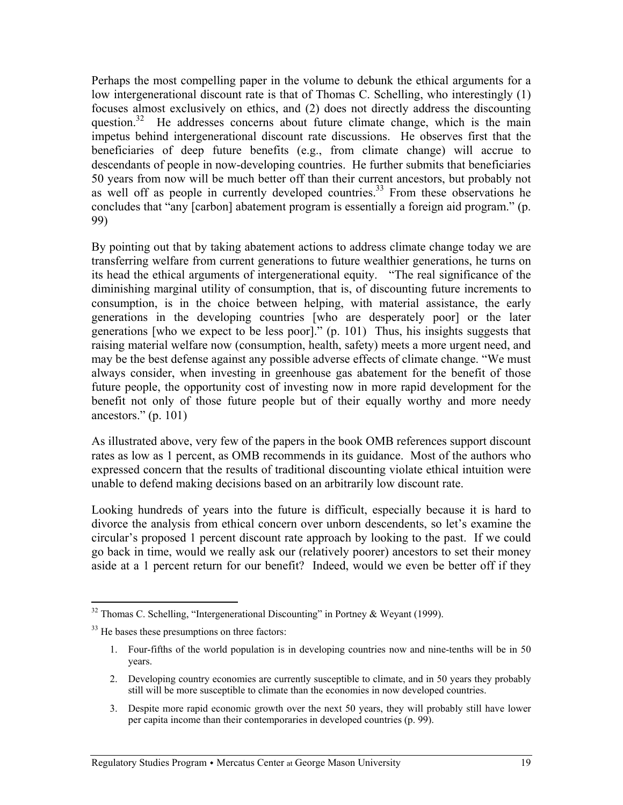Perhaps the most compelling paper in the volume to debunk the ethical arguments for a low intergenerational discount rate is that of Thomas C. Schelling, who interestingly (1) focuses almost exclusively on ethics, and (2) does not directly address the discounting question.<sup>32</sup> He addresses concerns about future climate change, which is the main impetus behind intergenerational discount rate discussions. He observes first that the beneficiaries of deep future benefits (e.g., from climate change) will accrue to descendants of people in now-developing countries. He further submits that beneficiaries 50 years from now will be much better off than their current ancestors, but probably not as well off as people in currently developed countries.<sup>33</sup> From these observations he concludes that "any [carbon] abatement program is essentially a foreign aid program." (p. 99)

By pointing out that by taking abatement actions to address climate change today we are transferring welfare from current generations to future wealthier generations, he turns on its head the ethical arguments of intergenerational equity. "The real significance of the diminishing marginal utility of consumption, that is, of discounting future increments to consumption, is in the choice between helping, with material assistance, the early generations in the developing countries [who are desperately poor] or the later generations [who we expect to be less poor]." (p. 101) Thus, his insights suggests that raising material welfare now (consumption, health, safety) meets a more urgent need, and may be the best defense against any possible adverse effects of climate change. "We must always consider, when investing in greenhouse gas abatement for the benefit of those future people, the opportunity cost of investing now in more rapid development for the benefit not only of those future people but of their equally worthy and more needy ancestors." (p. 101)

As illustrated above, very few of the papers in the book OMB references support discount rates as low as 1 percent, as OMB recommends in its guidance. Most of the authors who expressed concern that the results of traditional discounting violate ethical intuition were unable to defend making decisions based on an arbitrarily low discount rate.

Looking hundreds of years into the future is difficult, especially because it is hard to divorce the analysis from ethical concern over unborn descendents, so let's examine the circular's proposed 1 percent discount rate approach by looking to the past. If we could go back in time, would we really ask our (relatively poorer) ancestors to set their money aside at a 1 percent return for our benefit? Indeed, would we even be better off if they

- 2. Developing country economies are currently susceptible to climate, and in 50 years they probably still will be more susceptible to climate than the economies in now developed countries.
- 3. Despite more rapid economic growth over the next 50 years, they will probably still have lower per capita income than their contemporaries in developed countries (p. 99).

 $32$  Thomas C. Schelling, "Intergenerational Discounting" in Portney & Weyant (1999).

<sup>&</sup>lt;sup>33</sup> He bases these presumptions on three factors:

<sup>1.</sup> Four-fifths of the world population is in developing countries now and nine-tenths will be in 50 years.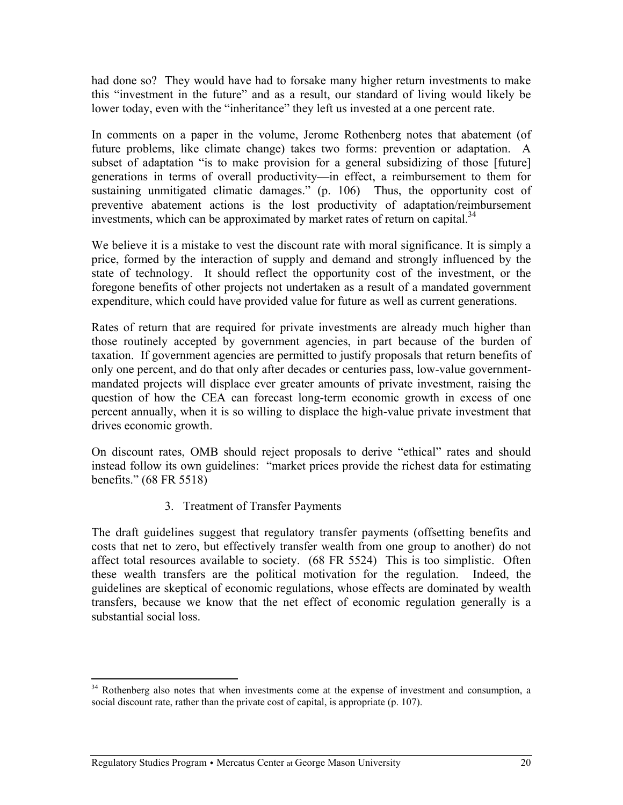had done so? They would have had to forsake many higher return investments to make this "investment in the future" and as a result, our standard of living would likely be lower today, even with the "inheritance" they left us invested at a one percent rate.

In comments on a paper in the volume, Jerome Rothenberg notes that abatement (of future problems, like climate change) takes two forms: prevention or adaptation. A subset of adaptation "is to make provision for a general subsidizing of those [future] generations in terms of overall productivity—in effect, a reimbursement to them for sustaining unmitigated climatic damages." (p. 106) Thus, the opportunity cost of preventive abatement actions is the lost productivity of adaptation/reimbursement investments, which can be approximated by market rates of return on capital.<sup>34</sup>

We believe it is a mistake to vest the discount rate with moral significance. It is simply a price, formed by the interaction of supply and demand and strongly influenced by the state of technology. It should reflect the opportunity cost of the investment, or the foregone benefits of other projects not undertaken as a result of a mandated government expenditure, which could have provided value for future as well as current generations.

Rates of return that are required for private investments are already much higher than those routinely accepted by government agencies, in part because of the burden of taxation. If government agencies are permitted to justify proposals that return benefits of only one percent, and do that only after decades or centuries pass, low-value governmentmandated projects will displace ever greater amounts of private investment, raising the question of how the CEA can forecast long-term economic growth in excess of one percent annually, when it is so willing to displace the high-value private investment that drives economic growth.

On discount rates, OMB should reject proposals to derive "ethical" rates and should instead follow its own guidelines: "market prices provide the richest data for estimating benefits." (68 FR 5518)

3. Treatment of Transfer Payments

The draft guidelines suggest that regulatory transfer payments (offsetting benefits and costs that net to zero, but effectively transfer wealth from one group to another) do not affect total resources available to society. (68 FR 5524) This is too simplistic. Often these wealth transfers are the political motivation for the regulation. Indeed, the guidelines are skeptical of economic regulations, whose effects are dominated by wealth transfers, because we know that the net effect of economic regulation generally is a substantial social loss.

 $\overline{a}$ <sup>34</sup> Rothenberg also notes that when investments come at the expense of investment and consumption, a social discount rate, rather than the private cost of capital, is appropriate (p. 107).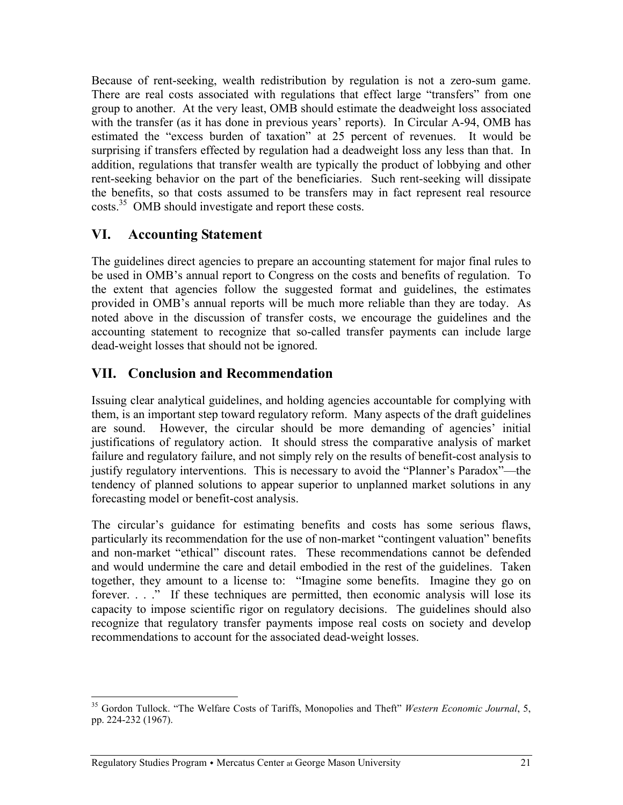Because of rent-seeking, wealth redistribution by regulation is not a zero-sum game. There are real costs associated with regulations that effect large "transfers" from one group to another. At the very least, OMB should estimate the deadweight loss associated with the transfer (as it has done in previous years' reports). In Circular A-94, OMB has estimated the "excess burden of taxation" at 25 percent of revenues. It would be surprising if transfers effected by regulation had a deadweight loss any less than that. In addition, regulations that transfer wealth are typically the product of lobbying and other rent-seeking behavior on the part of the beneficiaries. Such rent-seeking will dissipate the benefits, so that costs assumed to be transfers may in fact represent real resource costs.<sup>35</sup> OMB should investigate and report these costs.

## **VI. Accounting Statement**

The guidelines direct agencies to prepare an accounting statement for major final rules to be used in OMB's annual report to Congress on the costs and benefits of regulation. To the extent that agencies follow the suggested format and guidelines, the estimates provided in OMB's annual reports will be much more reliable than they are today. As noted above in the discussion of transfer costs, we encourage the guidelines and the accounting statement to recognize that so-called transfer payments can include large dead-weight losses that should not be ignored.

# **VII. Conclusion and Recommendation**

Issuing clear analytical guidelines, and holding agencies accountable for complying with them, is an important step toward regulatory reform. Many aspects of the draft guidelines are sound. However, the circular should be more demanding of agencies' initial justifications of regulatory action. It should stress the comparative analysis of market failure and regulatory failure, and not simply rely on the results of benefit-cost analysis to justify regulatory interventions. This is necessary to avoid the "Planner's Paradox"—the tendency of planned solutions to appear superior to unplanned market solutions in any forecasting model or benefit-cost analysis.

The circular's guidance for estimating benefits and costs has some serious flaws, particularly its recommendation for the use of non-market "contingent valuation" benefits and non-market "ethical" discount rates. These recommendations cannot be defended and would undermine the care and detail embodied in the rest of the guidelines. Taken together, they amount to a license to: "Imagine some benefits. Imagine they go on forever. . . ." If these techniques are permitted, then economic analysis will lose its capacity to impose scientific rigor on regulatory decisions. The guidelines should also recognize that regulatory transfer payments impose real costs on society and develop recommendations to account for the associated dead-weight losses.

<sup>35</sup> Gordon Tullock. "The Welfare Costs of Tariffs, Monopolies and Theft" *Western Economic Journal*, 5, pp. 224-232 (1967).